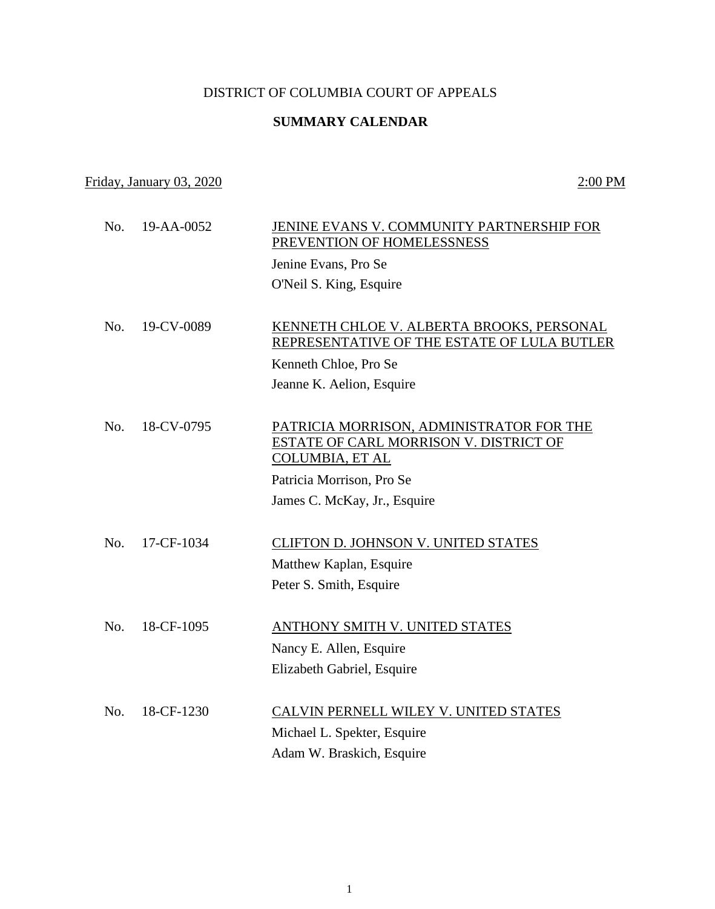## DISTRICT OF COLUMBIA COURT OF APPEALS

## **SUMMARY CALENDAR**

## Friday, January 03, 2020 2:00 PM

| No. | 19-AA-0052 | JENINE EVANS V. COMMUNITY PARTNERSHIP FOR<br>PREVENTION OF HOMELESSNESS                                      |
|-----|------------|--------------------------------------------------------------------------------------------------------------|
|     |            | Jenine Evans, Pro Se                                                                                         |
|     |            | O'Neil S. King, Esquire                                                                                      |
|     |            |                                                                                                              |
| No. | 19-CV-0089 | KENNETH CHLOE V. ALBERTA BROOKS, PERSONAL<br>REPRESENTATIVE OF THE ESTATE OF LULA BUTLER                     |
|     |            | Kenneth Chloe, Pro Se                                                                                        |
|     |            | Jeanne K. Aelion, Esquire                                                                                    |
|     |            |                                                                                                              |
| No. | 18-CV-0795 | PATRICIA MORRISON, ADMINISTRATOR FOR THE<br>ESTATE OF CARL MORRISON V. DISTRICT OF<br><b>COLUMBIA, ET AL</b> |
|     |            | Patricia Morrison, Pro Se                                                                                    |
|     |            | James C. McKay, Jr., Esquire                                                                                 |
|     |            |                                                                                                              |
| No. | 17-CF-1034 | CLIFTON D. JOHNSON V. UNITED STATES                                                                          |
|     |            | Matthew Kaplan, Esquire                                                                                      |
|     |            | Peter S. Smith, Esquire                                                                                      |
|     |            |                                                                                                              |
| No. | 18-CF-1095 | ANTHONY SMITH V. UNITED STATES                                                                               |
|     |            | Nancy E. Allen, Esquire                                                                                      |
|     |            | Elizabeth Gabriel, Esquire                                                                                   |
| No. | 18-CF-1230 | CALVIN PERNELL WILEY V. UNITED STATES                                                                        |
|     |            | Michael L. Spekter, Esquire                                                                                  |
|     |            | Adam W. Braskich, Esquire                                                                                    |
|     |            |                                                                                                              |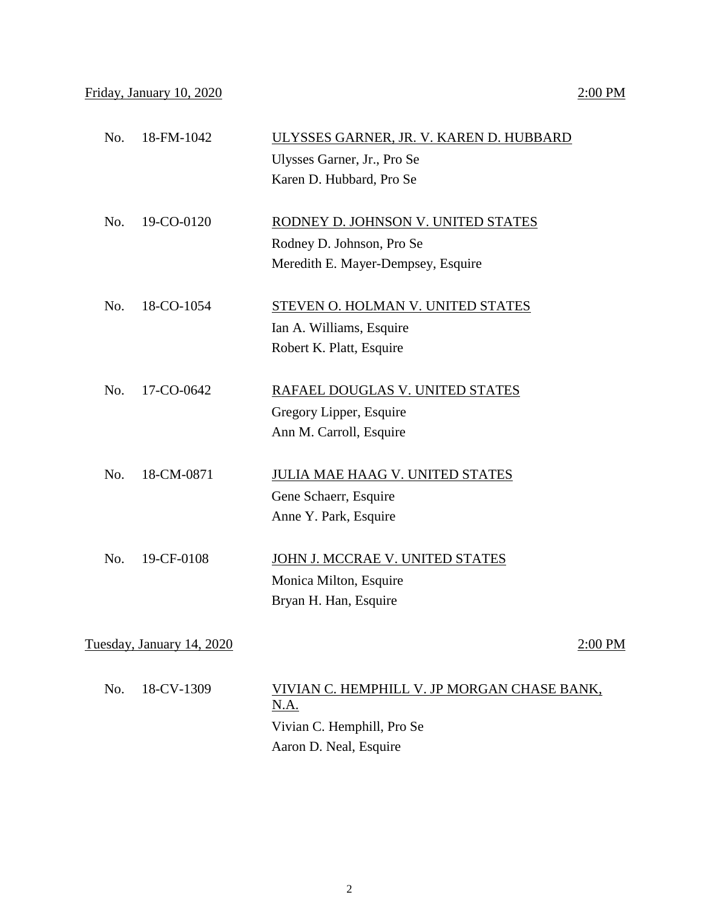| No. | 18-FM-1042                | ULYSSES GARNER, JR. V. KAREN D. HUBBARD |         |
|-----|---------------------------|-----------------------------------------|---------|
|     |                           | Ulysses Garner, Jr., Pro Se             |         |
|     |                           | Karen D. Hubbard, Pro Se                |         |
|     |                           |                                         |         |
| No. | 19-CO-0120                | RODNEY D. JOHNSON V. UNITED STATES      |         |
|     |                           | Rodney D. Johnson, Pro Se               |         |
|     |                           | Meredith E. Mayer-Dempsey, Esquire      |         |
|     |                           |                                         |         |
| No. | 18-CO-1054                | STEVEN O. HOLMAN V. UNITED STATES       |         |
|     |                           | Ian A. Williams, Esquire                |         |
|     |                           | Robert K. Platt, Esquire                |         |
|     |                           |                                         |         |
| No. | 17-CO-0642                | RAFAEL DOUGLAS V. UNITED STATES         |         |
|     |                           | Gregory Lipper, Esquire                 |         |
|     |                           | Ann M. Carroll, Esquire                 |         |
| No. | 18-CM-0871                | <b>JULIA MAE HAAG V. UNITED STATES</b>  |         |
|     |                           | Gene Schaerr, Esquire                   |         |
|     |                           | Anne Y. Park, Esquire                   |         |
|     |                           |                                         |         |
| No. | 19-CF-0108                | JOHN J. MCCRAE V. UNITED STATES         |         |
|     |                           | Monica Milton, Esquire                  |         |
|     |                           | Bryan H. Han, Esquire                   |         |
|     |                           |                                         |         |
|     | Tuesday, January 14, 2020 |                                         | 2:00 PM |
|     |                           |                                         |         |

| No. 18-CV-1309 | VIVIAN C. HEMPHILL V. JP MORGAN CHASE BANK,<br>N.A. |
|----------------|-----------------------------------------------------|
|                | Vivian C. Hemphill, Pro Se                          |
|                | Aaron D. Neal, Esquire                              |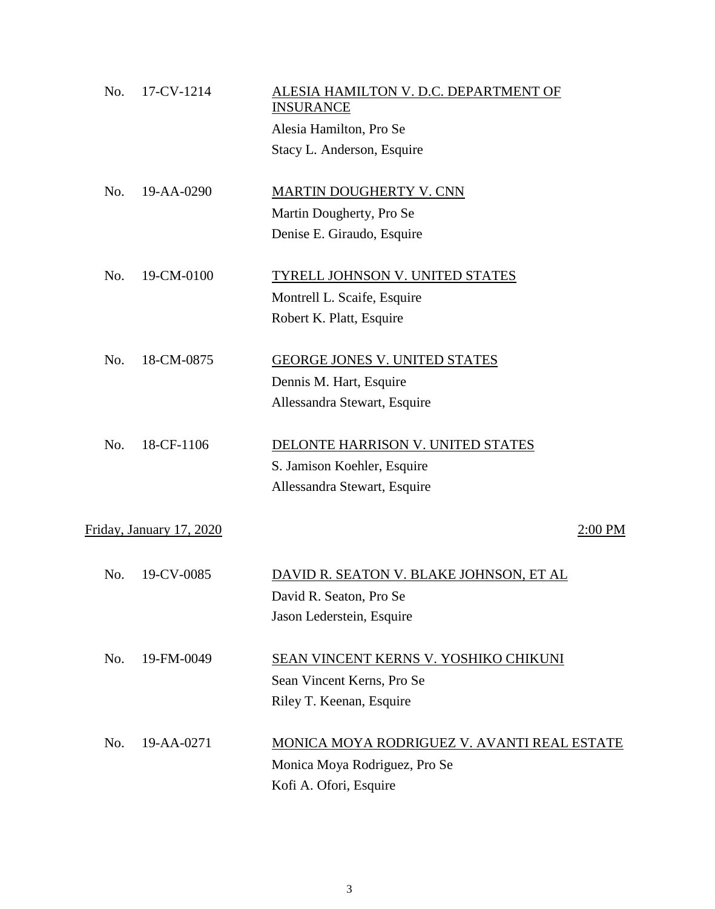| No. | 17-CV-1214               | ALESIA HAMILTON V. D.C. DEPARTMENT OF<br><b>INSURANCE</b> |         |
|-----|--------------------------|-----------------------------------------------------------|---------|
|     |                          | Alesia Hamilton, Pro Se                                   |         |
|     |                          | Stacy L. Anderson, Esquire                                |         |
| No. | 19-AA-0290               | <b>MARTIN DOUGHERTY V. CNN</b>                            |         |
|     |                          | Martin Dougherty, Pro Se                                  |         |
|     |                          | Denise E. Giraudo, Esquire                                |         |
| No. | 19-CM-0100               | TYRELL JOHNSON V. UNITED STATES                           |         |
|     |                          | Montrell L. Scaife, Esquire                               |         |
|     |                          | Robert K. Platt, Esquire                                  |         |
| No. | 18-CM-0875               | GEORGE JONES V. UNITED STATES                             |         |
|     |                          | Dennis M. Hart, Esquire                                   |         |
|     |                          | Allessandra Stewart, Esquire                              |         |
| No. | 18-CF-1106               | DELONTE HARRISON V. UNITED STATES                         |         |
|     |                          | S. Jamison Koehler, Esquire                               |         |
|     |                          | Allessandra Stewart, Esquire                              |         |
|     | Friday, January 17, 2020 |                                                           | 2:00 PM |
| No. | 19-CV-0085               | DAVID R. SEATON V. BLAKE JOHNSON, ET AL                   |         |
|     |                          | David R. Seaton, Pro Se                                   |         |
|     |                          | Jason Lederstein, Esquire                                 |         |
|     |                          |                                                           |         |
| No. | 19-FM-0049               | SEAN VINCENT KERNS V. YOSHIKO CHIKUNI                     |         |
|     |                          | Sean Vincent Kerns, Pro Se                                |         |
|     |                          | Riley T. Keenan, Esquire                                  |         |
| No. | 19-AA-0271               | MONICA MOYA RODRIGUEZ V. AVANTI REAL ESTATE               |         |
|     |                          | Monica Moya Rodriguez, Pro Se                             |         |
|     |                          | Kofi A. Ofori, Esquire                                    |         |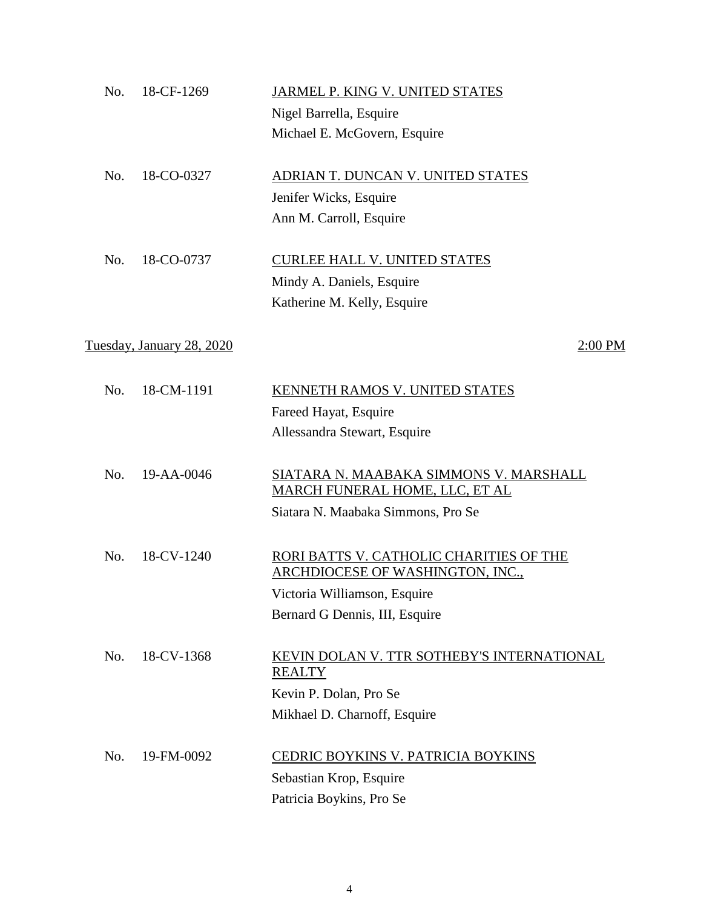| No. | 18-CF-1269                | JARMEL P. KING V. UNITED STATES                                                        |
|-----|---------------------------|----------------------------------------------------------------------------------------|
|     |                           | Nigel Barrella, Esquire                                                                |
|     |                           | Michael E. McGovern, Esquire                                                           |
| No. | 18-CO-0327                | ADRIAN T. DUNCAN V. UNITED STATES                                                      |
|     |                           | Jenifer Wicks, Esquire                                                                 |
|     |                           | Ann M. Carroll, Esquire                                                                |
| No. | 18-CO-0737                | <b>CURLEE HALL V. UNITED STATES</b>                                                    |
|     |                           | Mindy A. Daniels, Esquire                                                              |
|     |                           | Katherine M. Kelly, Esquire                                                            |
|     | Tuesday, January 28, 2020 | 2:00 PM                                                                                |
| No. | 18-CM-1191                | KENNETH RAMOS V. UNITED STATES                                                         |
|     |                           | Fareed Hayat, Esquire                                                                  |
|     |                           | Allessandra Stewart, Esquire                                                           |
| No. | 19-AA-0046                | <u>SIATARA N. MAABAKA SIMMONS V. MARSHALL</u><br><b>MARCH FUNERAL HOME, LLC, ET AL</b> |
|     |                           | Siatara N. Maabaka Simmons, Pro Se                                                     |
| No. | 18-CV-1240                | RORI BATTS V. CATHOLIC CHARITIES OF THE<br><b>ARCHDIOCESE OF WASHINGTON, INC.,</b>     |
|     |                           | Victoria Williamson, Esquire                                                           |
|     |                           | Bernard G Dennis, III, Esquire                                                         |
| No. | 18-CV-1368                | KEVIN DOLAN V. TTR SOTHEBY'S INTERNATIONAL<br><b>REALTY</b>                            |
|     |                           | Kevin P. Dolan, Pro Se                                                                 |
|     |                           | Mikhael D. Charnoff, Esquire                                                           |
| No. | 19-FM-0092                | CEDRIC BOYKINS V. PATRICIA BOYKINS                                                     |
|     |                           | Sebastian Krop, Esquire                                                                |
|     |                           | Patricia Boykins, Pro Se                                                               |